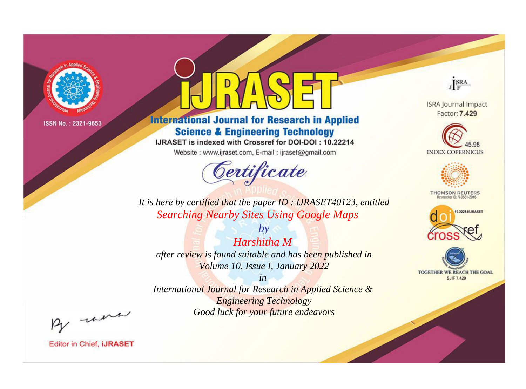

# **International Journal for Research in Applied Science & Engineering Technology**

IJRASET is indexed with Crossref for DOI-DOI: 10.22214

Website: www.ijraset.com, E-mail: ijraset@gmail.com



JERA

**ISRA Journal Impact** Factor: 7.429





**THOMSON REUTERS** 



TOGETHER WE REACH THE GOAL **SJIF 7.429** 

It is here by certified that the paper ID: IJRASET40123, entitled **Searching Nearby Sites Using Google Maps** 

 $b\nu$ Harshitha M after review is found suitable and has been published in Volume 10, Issue I, January 2022

 $in$ International Journal for Research in Applied Science & **Engineering Technology** Good luck for your future endeavors

By morn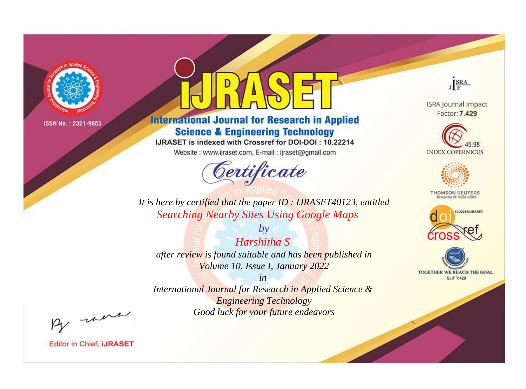

# **International Journal for Research in Applied Science & Engineering Technology**

IJRASET is indexed with Crossref for DOI-DOI: 10.22214

Website: www.ijraset.com, E-mail: ijraset@gmail.com



JERA

**ISRA Journal Impact** Factor: 7.429





**THOMSON REUTERS** 



TOGETHER WE REACH THE GOAL **SJIF 7.429** 

It is here by certified that the paper ID: IJRASET40123, entitled **Searching Nearby Sites Using Google Maps** 

Harshitha S after review is found suitable and has been published in Volume 10, Issue I, January 2022

 $b\nu$ 

 $in$ International Journal for Research in Applied Science & **Engineering Technology** Good luck for your future endeavors

By morn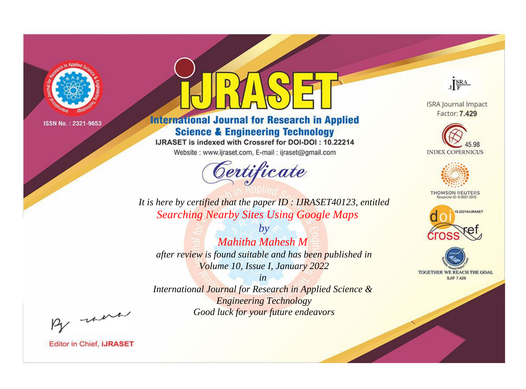

# **International Journal for Research in Applied Science & Engineering Technology**

IJRASET is indexed with Crossref for DOI-DOI: 10.22214

Website: www.ijraset.com, E-mail: ijraset@gmail.com



JERA

**ISRA Journal Impact** Factor: 7.429





**THOMSON REUTERS** 



TOGETHER WE REACH THE GOAL **SJIF 7.429** 

It is here by certified that the paper ID: IJRASET40123, entitled **Searching Nearby Sites Using Google Maps** 

Mahitha Mahesh M after review is found suitable and has been published in Volume 10, Issue I, January 2022

 $b\nu$ 

 $in$ International Journal for Research in Applied Science & **Engineering Technology** Good luck for your future endeavors

By morn